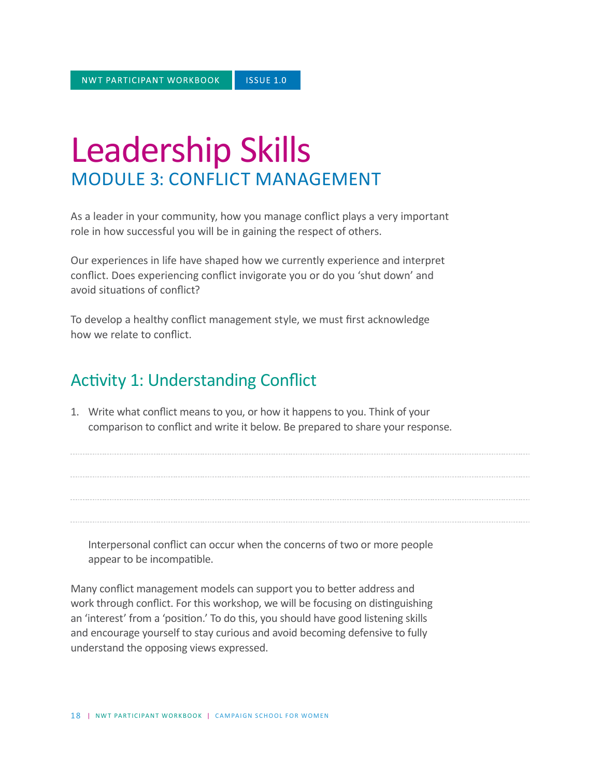# Leadership Skills MODULE 3: CONFLICT MANAGEMENT

As a leader in your community, how you manage conflict plays a very important role in how successful you will be in gaining the respect of others.

Our experiences in life have shaped how we currently experience and interpret conflict. Does experiencing conflict invigorate you or do you 'shut down' and avoid situations of conflict?

To develop a healthy conflict management style, we must first acknowledge how we relate to conflict.

### Activity 1: Understanding Conflict

1. Write what conflict means to you, or how it happens to you. Think of your comparison to conflict and write it below. Be prepared to share your response.

Interpersonal conflict can occur when the concerns of two or more people appear to be incompatible.

Many conflict management models can support you to better address and work through conflict. For this workshop, we will be focusing on distinguishing an 'interest' from a 'position.' To do this, you should have good listening skills and encourage yourself to stay curious and avoid becoming defensive to fully understand the opposing views expressed.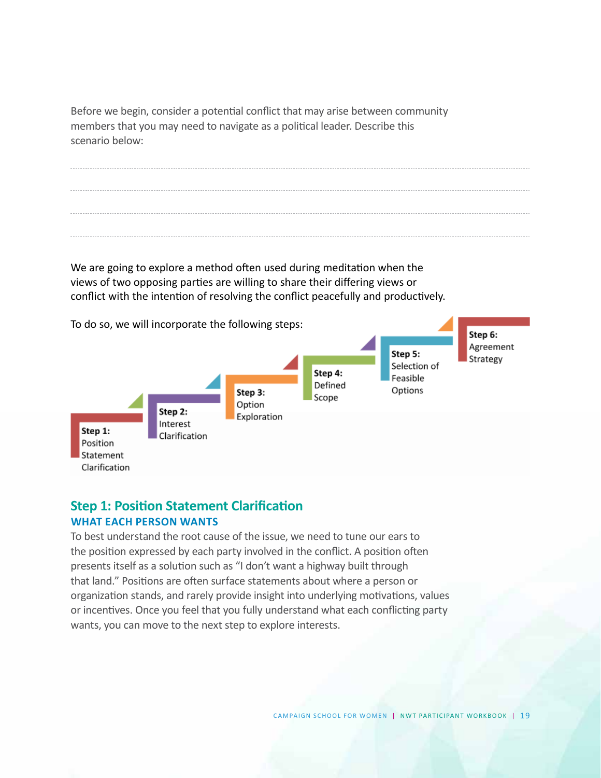Before we begin, consider a potential conflict that may arise between community members that you may need to navigate as a political leader. Describe this scenario below:

We are going to explore a method often used during meditation when the views of two opposing parties are willing to share their differing views or conflict with the intention of resolving the conflict peacefully and productively.



### **Step 1: Position Statement Clarification WHAT EACH PERSON WANTS**

To best understand the root cause of the issue, we need to tune our ears to the position expressed by each party involved in the conflict. A position often presents itself as a solution such as "I don't want a highway built through that land." Positions are often surface statements about where a person or organization stands, and rarely provide insight into underlying motivations, values or incentives. Once you feel that you fully understand what each conflicting party wants, you can move to the next step to explore interests.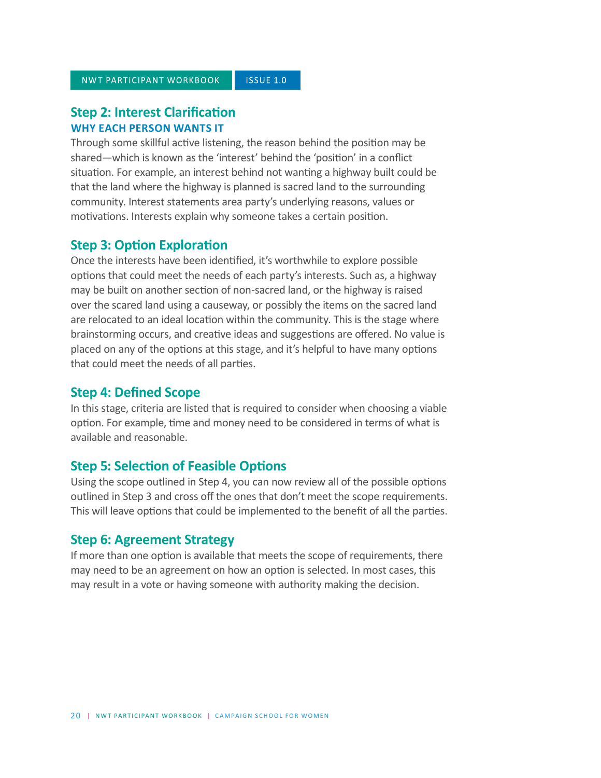#### **Step 2: Interest Clarification WHY EACH PERSON WANTS IT**

Through some skillful active listening, the reason behind the position may be shared—which is known as the 'interest' behind the 'position' in a conflict situation. For example, an interest behind not wanting a highway built could be that the land where the highway is planned is sacred land to the surrounding community. Interest statements area party's underlying reasons, values or motivations. Interests explain why someone takes a certain position.

#### **Step 3: Option Exploration**

Once the interests have been identified, it's worthwhile to explore possible options that could meet the needs of each party's interests. Such as, a highway may be built on another section of non-sacred land, or the highway is raised over the scared land using a causeway, or possibly the items on the sacred land are relocated to an ideal location within the community. This is the stage where brainstorming occurs, and creative ideas and suggestions are offered. No value is placed on any of the options at this stage, and it's helpful to have many options that could meet the needs of all parties.

#### **Step 4: Defined Scope**

In this stage, criteria are listed that is required to consider when choosing a viable option. For example, time and money need to be considered in terms of what is available and reasonable.

#### **Step 5: Selection of Feasible Options**

Using the scope outlined in Step 4, you can now review all of the possible options outlined in Step 3 and cross off the ones that don't meet the scope requirements. This will leave options that could be implemented to the benefit of all the parties.

#### **Step 6: Agreement Strategy**

If more than one option is available that meets the scope of requirements, there may need to be an agreement on how an option is selected. In most cases, this may result in a vote or having someone with authority making the decision.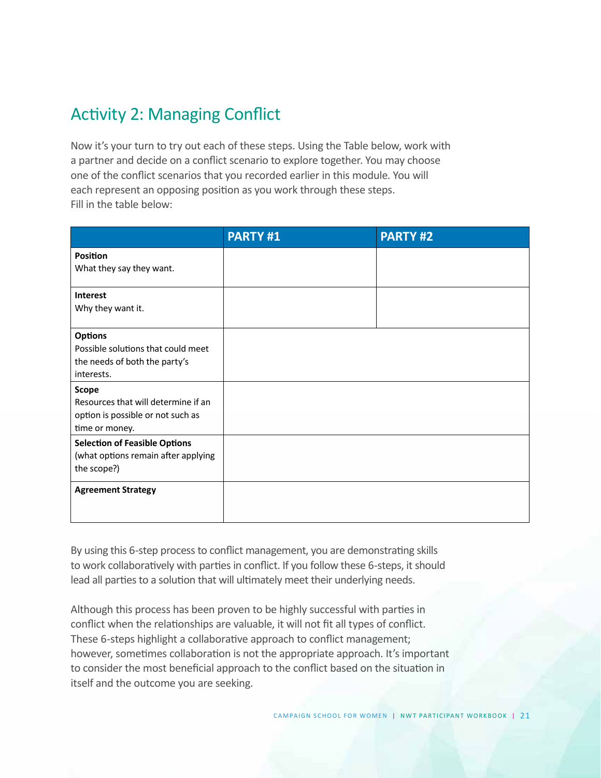## Activity 2: Managing Conflict

Now it's your turn to try out each of these steps. Using the Table below, work with a partner and decide on a conflict scenario to explore together. You may choose one of the conflict scenarios that you recorded earlier in this module. You will each represent an opposing position as you work through these steps. Fill in the table below:

|                                                                                                            | <b>PARTY#1</b> | <b>PARTY#2</b> |
|------------------------------------------------------------------------------------------------------------|----------------|----------------|
| <b>Position</b><br>What they say they want.                                                                |                |                |
| <b>Interest</b><br>Why they want it.                                                                       |                |                |
| <b>Options</b><br>Possible solutions that could meet<br>the needs of both the party's<br>interests.        |                |                |
| <b>Scope</b><br>Resources that will determine if an<br>option is possible or not such as<br>time or money. |                |                |
| <b>Selection of Feasible Options</b><br>(what options remain after applying<br>the scope?)                 |                |                |
| <b>Agreement Strategy</b>                                                                                  |                |                |

By using this 6-step process to conflict management, you are demonstrating skills to work collaboratively with parties in conflict. If you follow these 6-steps, it should lead all parties to a solution that will ultimately meet their underlying needs.

Although this process has been proven to be highly successful with parties in conflict when the relationships are valuable, it will not fit all types of conflict. These 6-steps highlight a collaborative approach to conflict management; however, sometimes collaboration is not the appropriate approach. It's important to consider the most beneficial approach to the conflict based on the situation in itself and the outcome you are seeking.